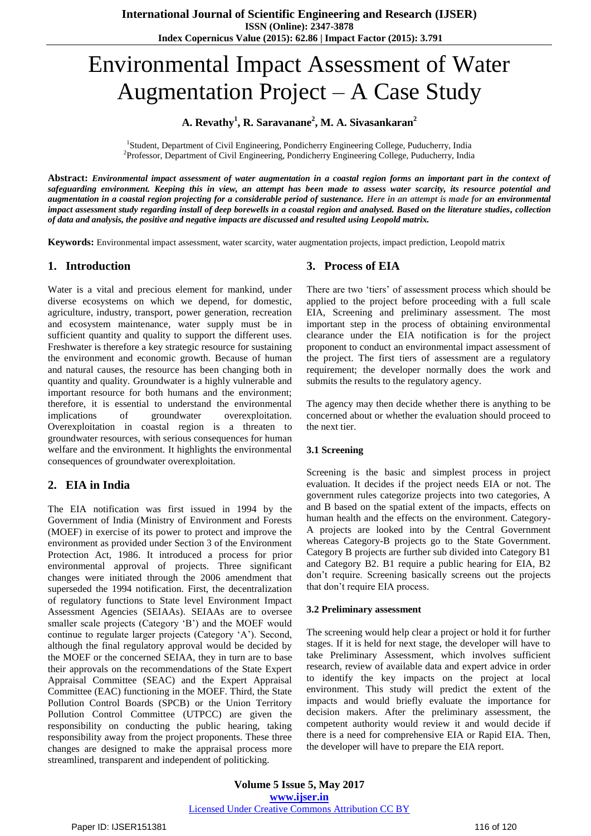# Environmental Impact Assessment of Water Augmentation Project – A Case Study

## **A. Revathy<sup>1</sup> , R. Saravanane<sup>2</sup> , M. A. Sivasankaran<sup>2</sup>**

<sup>1</sup>Student, Department of Civil Engineering, Pondicherry Engineering College, Puducherry, India <sup>2</sup>Professor, Department of Civil Engineering, Pondicherry Engineering College, Puducherry, India

**Abstract:** *Environmental impact assessment of water augmentation in a coastal region forms an important part in the context of safeguarding environment. Keeping this in view, an attempt has been made to assess water scarcity, its resource potential and augmentation in a coastal region projecting for a considerable period of sustenance. Here in an attempt is made for an environmental impact assessment study regarding install of deep borewells in a coastal region and analysed. Based on the literature studies, collection of data and analysis, the positive and negative impacts are discussed and resulted using Leopold matrix.* 

**Keywords:** Environmental impact assessment, water scarcity, water augmentation projects, impact prediction, Leopold matrix

## **1. Introduction**

Water is a vital and precious element for mankind, under diverse ecosystems on which we depend, for domestic, agriculture, industry, transport, power generation, recreation and ecosystem maintenance, water supply must be in sufficient quantity and quality to support the different uses. Freshwater is therefore a key strategic resource for sustaining the environment and economic growth. Because of human and natural causes, the resource has been changing both in quantity and quality. Groundwater is a highly vulnerable and important resource for both humans and the environment; therefore, it is essential to understand the environmental implications of groundwater overexploitation. Overexploitation in coastal region is a threaten to groundwater resources, with serious consequences for human welfare and the environment. It highlights the environmental consequences of groundwater overexploitation.

## **2. EIA in India**

The EIA notification was first issued in 1994 by the Government of India (Ministry of Environment and Forests (MOEF) in exercise of its power to protect and improve the environment as provided under Section 3 of the Environment Protection Act, 1986. It introduced a process for prior environmental approval of projects. Three significant changes were initiated through the 2006 amendment that superseded the 1994 notification. First, the decentralization of regulatory functions to State level Environment Impact Assessment Agencies (SEIAAs). SEIAAs are to oversee smaller scale projects (Category "B") and the MOEF would continue to regulate larger projects (Category 'A'). Second, although the final regulatory approval would be decided by the MOEF or the concerned SEIAA, they in turn are to base their approvals on the recommendations of the State Expert Appraisal Committee (SEAC) and the Expert Appraisal Committee (EAC) functioning in the MOEF. Third, the State Pollution Control Boards (SPCB) or the Union Territory Pollution Control Committee (UTPCC) are given the responsibility on conducting the public hearing, taking responsibility away from the project proponents. These three changes are designed to make the appraisal process more streamlined, transparent and independent of politicking.

## **3. Process of EIA**

There are two 'tiers' of assessment process which should be applied to the project before proceeding with a full scale EIA, Screening and preliminary assessment. The most important step in the process of obtaining environmental clearance under the EIA notification is for the project proponent to conduct an environmental impact assessment of the project. The first tiers of assessment are a regulatory requirement; the developer normally does the work and submits the results to the regulatory agency.

The agency may then decide whether there is anything to be concerned about or whether the evaluation should proceed to the next tier.

#### **3.1 Screening**

Screening is the basic and simplest process in project evaluation. It decides if the project needs EIA or not. The government rules categorize projects into two categories, A and B based on the spatial extent of the impacts, effects on human health and the effects on the environment. Category-A projects are looked into by the Central Government whereas Category-B projects go to the State Government. Category B projects are further sub divided into Category B1 and Category B2. B1 require a public hearing for EIA, B2 don"t require. Screening basically screens out the projects that don"t require EIA process.

#### **3.2 Preliminary assessment**

The screening would help clear a project or hold it for further stages. If it is held for next stage, the developer will have to take Preliminary Assessment, which involves sufficient research, review of available data and expert advice in order to identify the key impacts on the project at local environment. This study will predict the extent of the impacts and would briefly evaluate the importance for decision makers. After the preliminary assessment, the competent authority would review it and would decide if there is a need for comprehensive EIA or Rapid EIA. Then, the developer will have to prepare the EIA report.

**Volume 5 Issue 5, May 2017 www.ijser.in** Licensed Under Creative Commons Attribution CC BY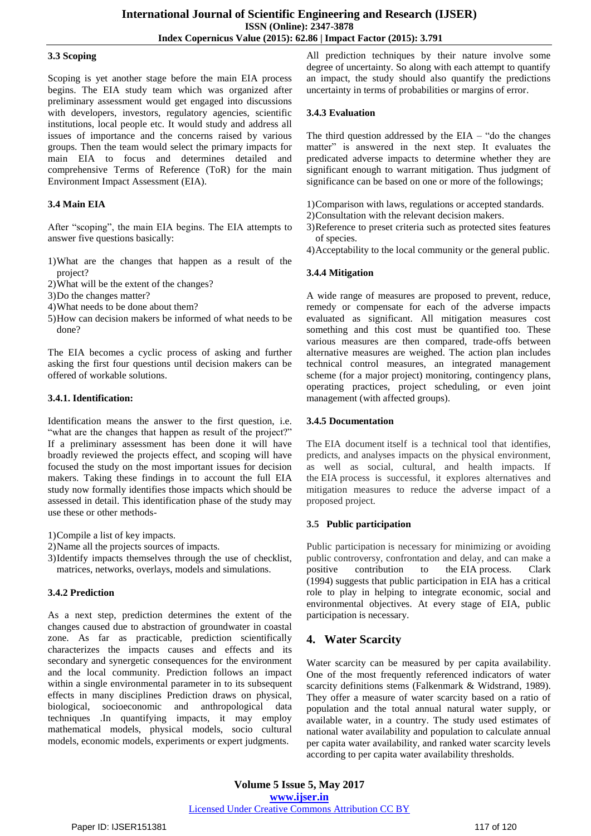#### **3.3 Scoping**

Scoping is yet another stage before the main EIA process begins. The EIA study team which was organized after preliminary assessment would get engaged into discussions with developers, investors, regulatory agencies, scientific institutions, local people etc. It would study and address all issues of importance and the concerns raised by various groups. Then the team would select the primary impacts for main EIA to focus and determines detailed and comprehensive Terms of Reference (ToR) for the main Environment Impact Assessment (EIA).

#### **3.4 Main EIA**

After "scoping", the main EIA begins. The EIA attempts to answer five questions basically:

- 1)What are the changes that happen as a result of the project?
- 2)What will be the extent of the changes?
- 3)Do the changes matter?
- 4)What needs to be done about them?
- 5)How can decision makers be informed of what needs to be done?

The EIA becomes a cyclic process of asking and further asking the first four questions until decision makers can be offered of workable solutions.

#### **3.4.1. Identification:**

Identification means the answer to the first question, i.e. "what are the changes that happen as result of the project?" If a preliminary assessment has been done it will have broadly reviewed the projects effect, and scoping will have focused the study on the most important issues for decision makers. Taking these findings in to account the full EIA study now formally identifies those impacts which should be assessed in detail. This identification phase of the study may use these or other methods-

1)Compile a list of key impacts.

- 2)Name all the projects sources of impacts.
- 3)Identify impacts themselves through the use of checklist, matrices, networks, overlays, models and simulations.

#### **3.4.2 Prediction**

As a next step, prediction determines the extent of the changes caused due to abstraction of groundwater in coastal zone. As far as practicable, prediction scientifically characterizes the impacts causes and effects and its secondary and synergetic consequences for the environment and the local community. Prediction follows an impact within a single environmental parameter in to its subsequent effects in many disciplines Prediction draws on physical, biological, socioeconomic and anthropological data techniques .In quantifying impacts, it may employ mathematical models, physical models, socio cultural models, economic models, experiments or expert judgments.

All prediction techniques by their nature involve some degree of uncertainty. So along with each attempt to quantify an impact, the study should also quantify the predictions uncertainty in terms of probabilities or margins of error.

#### **3.4.3 Evaluation**

The third question addressed by the  $EIA - "do$  the changes matter" is answered in the next step. It evaluates the predicated adverse impacts to determine whether they are significant enough to warrant mitigation. Thus judgment of significance can be based on one or more of the followings;

1)Comparison with laws, regulations or accepted standards.

- 2)Consultation with the relevant decision makers.
- 3)Reference to preset criteria such as protected sites features of species.
- 4)Acceptability to the local community or the general public.

#### **3.4.4 Mitigation**

A wide range of measures are proposed to prevent, reduce, remedy or compensate for each of the adverse impacts evaluated as significant. All mitigation measures cost something and this cost must be quantified too. These various measures are then compared, trade-offs between alternative measures are weighed. The action plan includes technical control measures, an integrated management scheme (for a major project) monitoring, contingency plans, operating practices, project scheduling, or even joint management (with affected groups).

#### **3.4.5 Documentation**

The EIA document itself is a technical tool that identifies, predicts, and analyses impacts on the physical environment, as well as social, cultural, and health impacts. If the EIA process is successful, it explores alternatives and mitigation measures to reduce the adverse impact of a proposed project.

#### **3.5 Public participation**

Public participation is necessary for minimizing or avoiding public controversy, confrontation and delay, and can make a<br>positive contribution to the EIA process. Clark the EIA process. Clark [\(1994\)](http://www.biodiversity.ru/coastlearn/pp-eng/references.html) suggests that public participation in EIA has a critical role to play in helping to integrate economic, social and environmental objectives. At every stage of EIA, public participation is necessary.

## **4. Water Scarcity**

Water scarcity can be measured by per capita availability. One of the most frequently referenced indicators of water scarcity definitions stems (Falkenmark & Widstrand, 1989). They offer a measure of water scarcity based on a ratio of population and the total annual natural water supply, or available water, in a country. The study used estimates of national water availability and population to calculate annual per capita water availability, and ranked water scarcity levels according to per capita water availability thresholds.

**Volume 5 Issue 5, May 2017 www.ijser.in** Licensed Under Creative Commons Attribution CC BY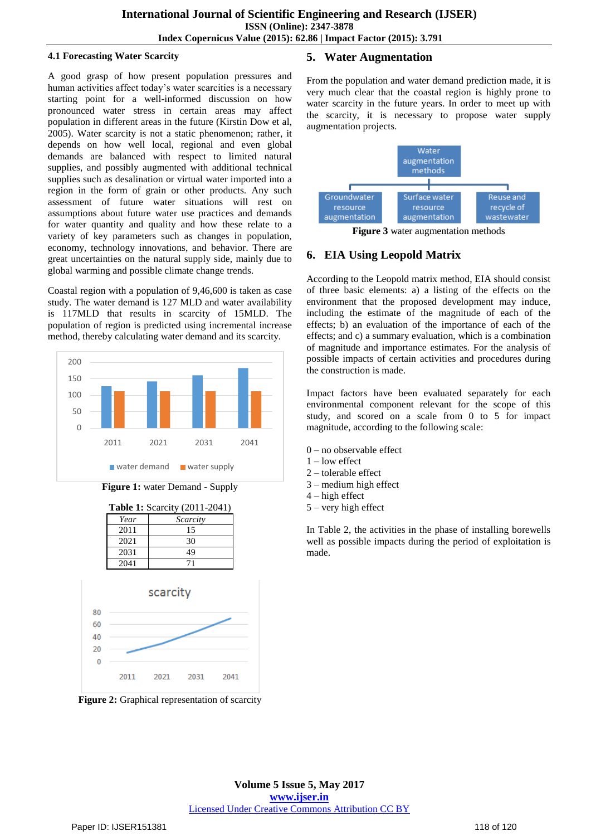#### **4.1 Forecasting Water Scarcity**

A good grasp of how present population pressures and human activities affect today's water scarcities is a necessary starting point for a well-informed discussion on how pronounced water stress in certain areas may affect population in different areas in the future (Kirstin Dow et al, 2005). Water scarcity is not a static phenomenon; rather, it depends on how well local, regional and even global demands are balanced with respect to limited natural supplies, and possibly augmented with additional technical supplies such as desalination or virtual water imported into a region in the form of grain or other products. Any such assessment of future water situations will rest on assumptions about future water use practices and demands for water quantity and quality and how these relate to a variety of key parameters such as changes in population, economy, technology innovations, and behavior. There are great uncertainties on the natural supply side, mainly due to global warming and possible climate change trends.

Coastal region with a population of 9,46,600 is taken as case study. The water demand is 127 MLD and water availability is 117MLD that results in scarcity of 15MLD. The population of region is predicted using incremental increase method, thereby calculating water demand and its scarcity.



**Figure 1:** water Demand - Supply



**Figure 2:** Graphical representation of scarcity

## **5. Water Augmentation**

From the population and water demand prediction made, it is very much clear that the coastal region is highly prone to water scarcity in the future years. In order to meet up with the scarcity, it is necessary to propose water supply augmentation projects.



**Figure 3** water augmentation methods

# **6. EIA Using Leopold Matrix**

According to the Leopold matrix method, EIA should consist of three basic elements: a) a listing of the effects on the environment that the proposed development may induce, including the estimate of the magnitude of each of the effects; b) an evaluation of the importance of each of the effects; and c) a summary evaluation, which is a combination of magnitude and importance estimates. For the analysis of possible impacts of certain activities and procedures during the construction is made.

Impact factors have been evaluated separately for each environmental component relevant for the scope of this study, and scored on a scale from 0 to 5 for impact magnitude, according to the following scale:

- 0 no observable effect
- 1 low effect
- 2 tolerable effect
- 3 medium high effect
- 4 high effect
- 5 very high effect

In Table 2, the activities in the phase of installing borewells well as possible impacts during the period of exploitation is made.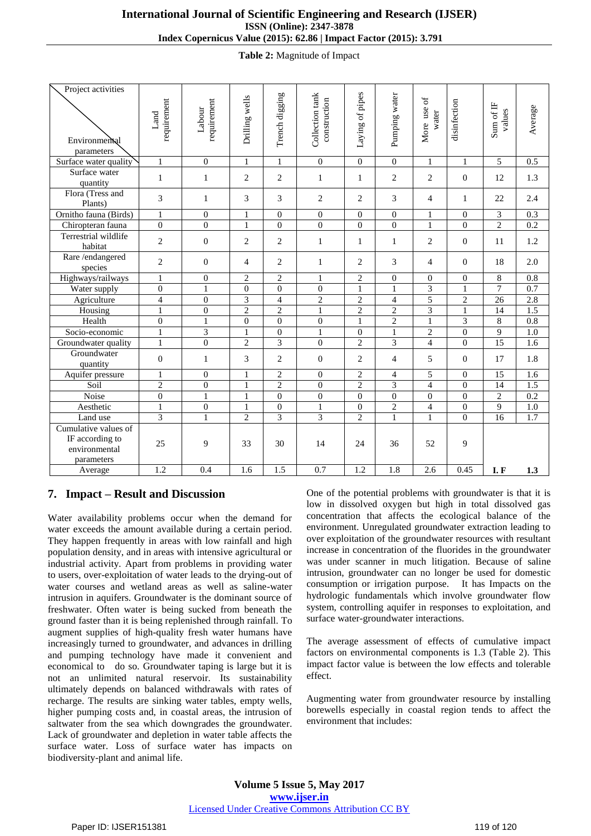**Table 2:** Magnitude of Impact

| Project activities<br>Environmental<br>parameters                      | requirement<br>Land      | requirement<br>Labour | Drilling wells | Trench digging   | Collection tank<br>construction | Laying of pipes  | Pumping water    | More use of<br>water | disinfection     | Sum of IF<br>values | Average          |
|------------------------------------------------------------------------|--------------------------|-----------------------|----------------|------------------|---------------------------------|------------------|------------------|----------------------|------------------|---------------------|------------------|
| Surface water quality                                                  | $\mathbf{1}$             | $\overline{0}$        | $\mathbf{1}$   | $\mathbf{1}$     | $\theta$                        | $\overline{0}$   | $\theta$         | $\mathbf{1}$         | $\mathbf{1}$     | 5                   | 0.5              |
| Surface water<br>quantity                                              | $\mathbf{1}$             | $\mathbf{1}$          | $\overline{2}$ | $\overline{c}$   | $\mathbf{1}$                    | $\mathbf{1}$     | 2                | $\mathbf{2}$         | $\boldsymbol{0}$ | 12                  | 1.3              |
| Flora (Tress and<br>Plants)                                            | 3                        | $\mathbf{1}$          | 3              | 3                | $\overline{2}$                  | $\overline{c}$   | 3                | $\overline{4}$       | $\mathbf{1}$     | 22                  | 2.4              |
| Ornitho fauna (Birds)                                                  | $\mathbf{1}$             | $\theta$              | $\mathbf{1}$   | $\mathbf{0}$     | $\theta$                        | $\mathbf{0}$     | $\theta$         | $\mathbf{1}$         | $\boldsymbol{0}$ | 3                   | 0.3              |
| Chiropteran fauna                                                      | $\overline{0}$           | $\mathbf{0}$          | $\mathbf{1}$   | $\overline{0}$   | $\overline{0}$                  | $\overline{0}$   | $\mathbf{0}$     | $\mathbf{1}$         | $\mathbf{0}$     | $\overline{2}$      | 0.2              |
| Terrestrial wildlife<br>habitat                                        | $\overline{c}$           | $\theta$              | $\overline{2}$ | $\overline{2}$   | $\mathbf{1}$                    | $\mathbf{1}$     | $\mathbf{1}$     | $\overline{c}$       | $\mathbf{0}$     | 11                  | 1.2              |
| Rare /endangered<br>species                                            | $\mathfrak{2}$           | $\theta$              | $\overline{4}$ | $\mathbf{2}$     | $\mathbf{1}$                    | $\overline{c}$   | 3                | $\overline{4}$       | $\mathbf{0}$     | 18                  | 2.0              |
| Highways/railways                                                      | $\mathbf{1}$             | $\boldsymbol{0}$      | $\overline{2}$ | $\overline{2}$   | $\mathbf{1}$                    | $\overline{2}$   | $\mathbf{0}$     | $\boldsymbol{0}$     | $\boldsymbol{0}$ | $\overline{8}$      | $\overline{0.8}$ |
| Water supply                                                           | $\boldsymbol{0}$         | $\mathbf{1}$          | $\theta$       | $\boldsymbol{0}$ | $\overline{0}$                  | $\mathbf 1$      | $\mathbf{1}$     | 3                    | $\mathbf{1}$     | $\overline{7}$      | 0.7              |
| Agriculture                                                            | $\overline{\mathcal{L}}$ | $\overline{0}$        | 3              | $\overline{4}$   | $\overline{2}$                  | $\overline{2}$   | $\overline{4}$   | 5                    | $\overline{2}$   | 26                  | 2.8              |
| Housing                                                                | $\mathbf{1}$             | $\mathbf{0}$          | $\overline{2}$ | $\overline{2}$   | $\overline{1}$                  | $\overline{2}$   | $\overline{2}$   | $\overline{3}$       | $\mathbf{1}$     | 14                  | $\overline{1.5}$ |
| Health                                                                 | $\boldsymbol{0}$         | $\mathbf{1}$          | $\Omega$       | $\overline{0}$   | $\boldsymbol{0}$                | $\mathbf{1}$     | $\mathbf{2}$     | $\mathbf{1}$         | $\overline{3}$   | 8                   | $\overline{0.8}$ |
| Socio-economic                                                         | 1                        | 3                     | 1              | $\boldsymbol{0}$ | $\mathbf{1}$                    | $\boldsymbol{0}$ | 1                | $\mathfrak{2}$       | $\boldsymbol{0}$ | 9                   | 1.0              |
| Groundwater quality                                                    | $\mathbf{1}$             | $\mathbf{0}$          | $\overline{2}$ | $\overline{3}$   | $\overline{0}$                  | $\overline{2}$   | 3                | $\overline{4}$       | $\boldsymbol{0}$ | 15                  | 1.6              |
| Groundwater<br>quantity                                                | $\mathbf{0}$             | $\mathbf{1}$          | 3              | $\overline{2}$   | $\mathbf{0}$                    | $\overline{2}$   | $\overline{4}$   | 5                    | $\mathbf{0}$     | 17                  | 1.8              |
| Aquifer pressure                                                       | 1                        | $\Omega$              | 1              | $\overline{c}$   | $\mathbf{0}$                    | $\mathbf{2}$     | $\overline{4}$   | 5                    | $\mathbf{0}$     | 15                  | 1.6              |
| Soil                                                                   | $\overline{2}$           | $\overline{0}$        | $\mathbf{1}$   | $\overline{2}$   | $\boldsymbol{0}$                | $\overline{c}$   | $\overline{3}$   | $\overline{4}$       | $\mathbf{0}$     | 14                  | 1.5              |
| Noise                                                                  | $\overline{0}$           | $\mathbf{1}$          | $\mathbf{1}$   | $\boldsymbol{0}$ | $\overline{0}$                  | $\overline{0}$   | $\boldsymbol{0}$ | $\overline{0}$       | $\mathbf{0}$     | $\overline{2}$      | $\overline{0.2}$ |
| Aesthetic                                                              | $\mathbf{1}$             | $\mathbf{0}$          | $\mathbf{1}$   | $\boldsymbol{0}$ | $\mathbf{1}$                    | $\mathbf{0}$     | $\overline{c}$   | $\overline{4}$       | $\boldsymbol{0}$ | 9                   | 1.0              |
| Land use                                                               | $\overline{3}$           | $\mathbf{1}$          | $\overline{2}$ | $\overline{3}$   | $\overline{3}$                  | $\overline{c}$   | $\mathbf{1}$     | $\mathbf{1}$         | $\overline{0}$   | $\overline{16}$     | 1.7              |
| Cumulative values of<br>IF according to<br>environmental<br>parameters | 25                       | 9                     | 33             | 30               | 14                              | 24               | 36               | 52                   | 9                |                     |                  |
| Average                                                                | 1.2                      | 0.4                   | 1.6            | 1.5              | 0.7                             | 1.2              | 1.8              | 2.6                  | 0.45             | I.F                 | 1.3              |

## **7. Impact – Result and Discussion**

Water availability problems occur when the demand for water exceeds the amount available during a certain period. They happen frequently in areas with low rainfall and high population density, and in areas with intensive agricultural or industrial activity. Apart from problems in providing water to users, over-exploitation of water leads to the drying-out of water courses and wetland areas as well as saline-water intrusion in aquifers. Groundwater is the dominant source of freshwater. Often water is being sucked from beneath the ground faster than it is being replenished through rainfall. To augment supplies of high-quality fresh water humans have increasingly turned to groundwater, and advances in drilling and pumping technology have made it convenient and economical to do so. Groundwater taping is large but it is not an unlimited natural reservoir. Its sustainability ultimately depends on balanced withdrawals with rates of recharge. The results are sinking water tables, empty wells, higher pumping costs and, in coastal areas, the intrusion of saltwater from the sea which downgrades the groundwater. Lack of groundwater and depletion in water table affects the surface water. Loss of surface water has impacts on biodiversity-plant and animal life.

One of the potential problems with groundwater is that it is low in dissolved oxygen but high in total dissolved gas concentration that affects the ecological balance of the environment. Unregulated groundwater extraction leading to over exploitation of the groundwater resources with resultant increase in concentration of the fluorides in the groundwater was under scanner in much litigation. Because of saline intrusion, groundwater can no longer be used for domestic consumption or irrigation purpose. It has Impacts on the hydrologic fundamentals which involve groundwater flow system, controlling aquifer in responses to exploitation, and surface water-groundwater interactions.

The average assessment of effects of cumulative impact factors on environmental components is 1.3 (Table 2). This impact factor value is between the low effects and tolerable effect.

Augmenting water from groundwater resource by installing borewells especially in coastal region tends to affect the environment that includes: